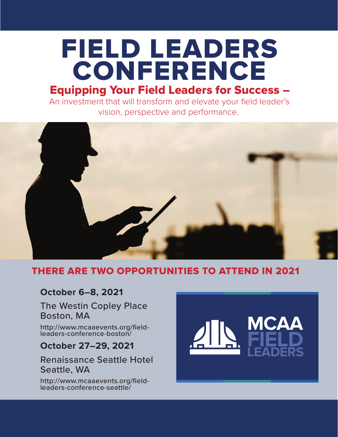# Equipping Your Field Leaders for Success – FIELD LEADERS CONFERENCE

An investment that will transform and elevate your field leader's vision, perspective and performance.



## THERE ARE TWO OPPORTUNITIES TO ATTEND IN 2021

## **October 6–8, 2021**

The Westin Copley Place Boston, MA

[http://www.mcaaevents.org/field](https://www.mcaaevents.org/field-leaders-conference-boston/)leaders-conference-boston/

## **October 27–29, 2021**

## Renaissance Seattle Hotel Seattle, WA

[http://www.mcaaevents.org/field](https://www.mcaaevents.org/field-leaders-conference-seattle/)leaders-conference-seattle/

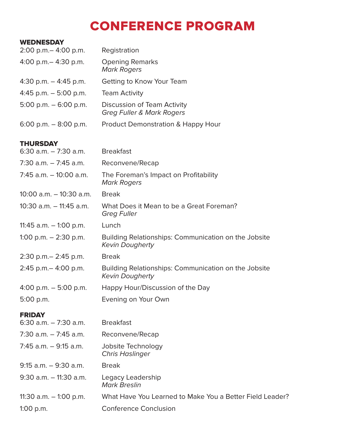## CONFERENCE PROGRAM

#### **WEDNESDAY**

| $2:00$ p.m. $-$ 4:00 p.m. | Registration                                                        |
|---------------------------|---------------------------------------------------------------------|
| 4:00 p.m. $-$ 4:30 p.m.   | <b>Opening Remarks</b><br><b>Mark Rogers</b>                        |
| 4:30 p.m. $-$ 4:45 p.m.   | Getting to Know Your Team                                           |
| 4:45 p.m. $-$ 5:00 p.m.   | <b>Team Activity</b>                                                |
| 5:00 p.m. $-$ 6:00 p.m.   | Discussion of Team Activity<br><b>Greg Fuller &amp; Mark Rogers</b> |
| 6:00 p.m. $-$ 8:00 p.m.   | <b>Product Demonstration &amp; Happy Hour</b>                       |
|                           |                                                                     |

#### **THURSDAY**

| 6:30 a.m. - 7:30 a.m.   | <b>Breakfast</b>                                                               |
|-------------------------|--------------------------------------------------------------------------------|
| 7:30 a.m. – 7:45 a.m.   | Reconvene/Recap                                                                |
| 7:45 a.m. – 10:00 a.m.  | The Foreman's Impact on Profitability<br><b>Mark Rogers</b>                    |
| 10:00 a.m. - 10:30 a.m. | <b>Break</b>                                                                   |
| 10:30 a.m. – 11:45 a.m. | What Does it Mean to be a Great Foreman?<br><b>Greg Fuller</b>                 |
| 11:45 a.m. – 1:00 p.m.  | Lunch                                                                          |
| 1:00 p.m. - 2:30 p.m.   | Building Relationships: Communication on the Jobsite<br><b>Kevin Dougherty</b> |
| 2:30 p.m. - 2:45 p.m.   | <b>Break</b>                                                                   |
| 2:45 p.m. - 4:00 p.m.   | Building Relationships: Communication on the Jobsite<br><b>Kevin Dougherty</b> |
| 4:00 p.m. $-$ 5:00 p.m. | Happy Hour/Discussion of the Day                                               |
| 5:00 p.m.               | Evening on Your Own                                                            |
| <b>FRIDAY</b>           |                                                                                |
| 6:30 a.m. - 7:30 a.m.   | <b>Breakfast</b>                                                               |
| 7:30 a.m. – 7:45 a.m.   | Reconvene/Recap                                                                |
| 7:45 a.m. – 9:15 a.m.   | Jobsite Technology<br><b>Chris Haslinger</b>                                   |
| 9:15 a.m. - 9:30 a.m.   | <b>Break</b>                                                                   |
| 9:30 a.m. – 11:30 a.m.  | Legacy Leadership<br><b>Mark Breslin</b>                                       |

11:30 a.m. – 1:00 p.m. What Have You Learned to Make You a Better Field Leader? 1:00 p.m. Conference Conclusion